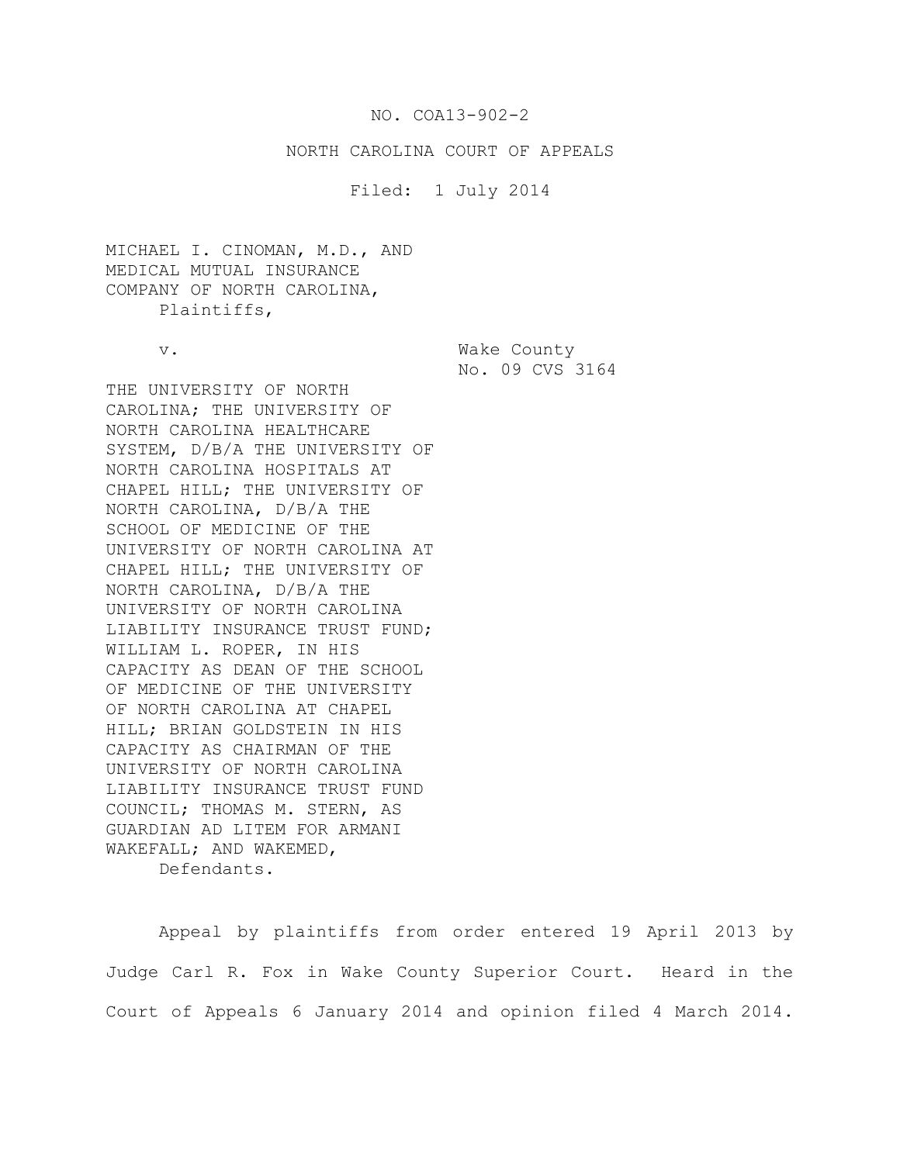# NO. COA13-902-2

## NORTH CAROLINA COURT OF APPEALS

## Filed: 1 July 2014

MICHAEL I. CINOMAN, M.D., AND MEDICAL MUTUAL INSURANCE COMPANY OF NORTH CAROLINA, Plaintiffs,

v. Wake County No. 09 CVS 3164

THE UNIVERSITY OF NORTH CAROLINA; THE UNIVERSITY OF NORTH CAROLINA HEALTHCARE SYSTEM, D/B/A THE UNIVERSITY OF NORTH CAROLINA HOSPITALS AT CHAPEL HILL; THE UNIVERSITY OF NORTH CAROLINA, D/B/A THE SCHOOL OF MEDICINE OF THE UNIVERSITY OF NORTH CAROLINA AT CHAPEL HILL; THE UNIVERSITY OF NORTH CAROLINA, D/B/A THE UNIVERSITY OF NORTH CAROLINA LIABILITY INSURANCE TRUST FUND; WILLIAM L. ROPER, IN HIS CAPACITY AS DEAN OF THE SCHOOL OF MEDICINE OF THE UNIVERSITY OF NORTH CAROLINA AT CHAPEL HILL; BRIAN GOLDSTEIN IN HIS CAPACITY AS CHAIRMAN OF THE UNIVERSITY OF NORTH CAROLINA LIABILITY INSURANCE TRUST FUND COUNCIL; THOMAS M. STERN, AS GUARDIAN AD LITEM FOR ARMANI WAKEFALL; AND WAKEMED, Defendants.

Appeal by plaintiffs from order entered 19 April 2013 by Judge Carl R. Fox in Wake County Superior Court. Heard in the Court of Appeals 6 January 2014 and opinion filed 4 March 2014.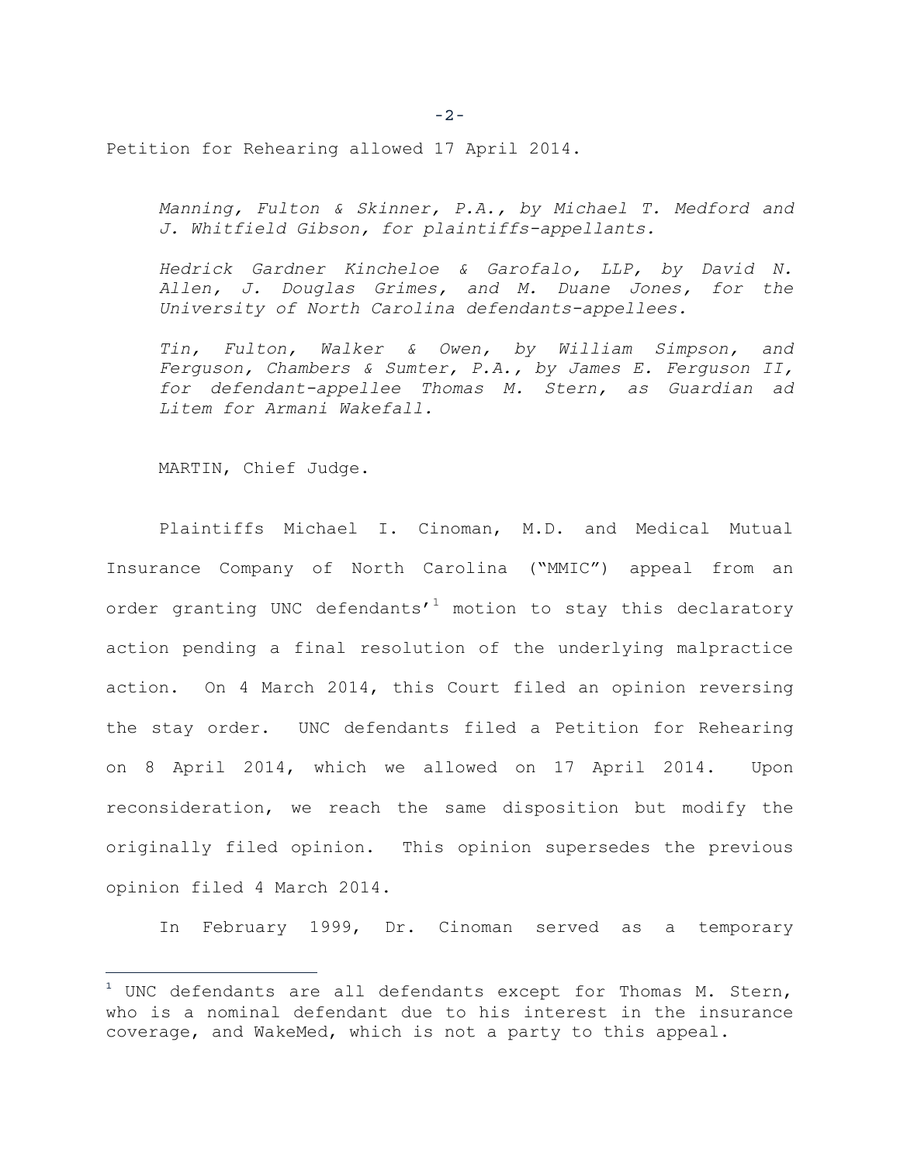Petition for Rehearing allowed 17 April 2014.

*Manning, Fulton & Skinner, P.A., by Michael T. Medford and J. Whitfield Gibson, for plaintiffs-appellants.*

*Hedrick Gardner Kincheloe & Garofalo, LLP, by David N. Allen, J. Douglas Grimes, and M. Duane Jones, for the University of North Carolina defendants-appellees.*

*Tin, Fulton, Walker & Owen, by William Simpson, and Ferguson, Chambers & Sumter, P.A., by James E. Ferguson II, for defendant-appellee Thomas M. Stern, as Guardian ad Litem for Armani Wakefall.*

MARTIN, Chief Judge.

i<br>T

Plaintiffs Michael I. Cinoman, M.D. and Medical Mutual Insurance Company of North Carolina ("MMIC") appeal from an order granting UNC defendants'<sup>1</sup> motion to stay this declaratory action pending a final resolution of the underlying malpractice action. On 4 March 2014, this Court filed an opinion reversing the stay order. UNC defendants filed a Petition for Rehearing on 8 April 2014, which we allowed on 17 April 2014. Upon reconsideration, we reach the same disposition but modify the originally filed opinion. This opinion supersedes the previous opinion filed 4 March 2014.

In February 1999, Dr. Cinoman served as a temporary

-2-

 $1$  UNC defendants are all defendants except for Thomas M. Stern, who is a nominal defendant due to his interest in the insurance coverage, and WakeMed, which is not a party to this appeal.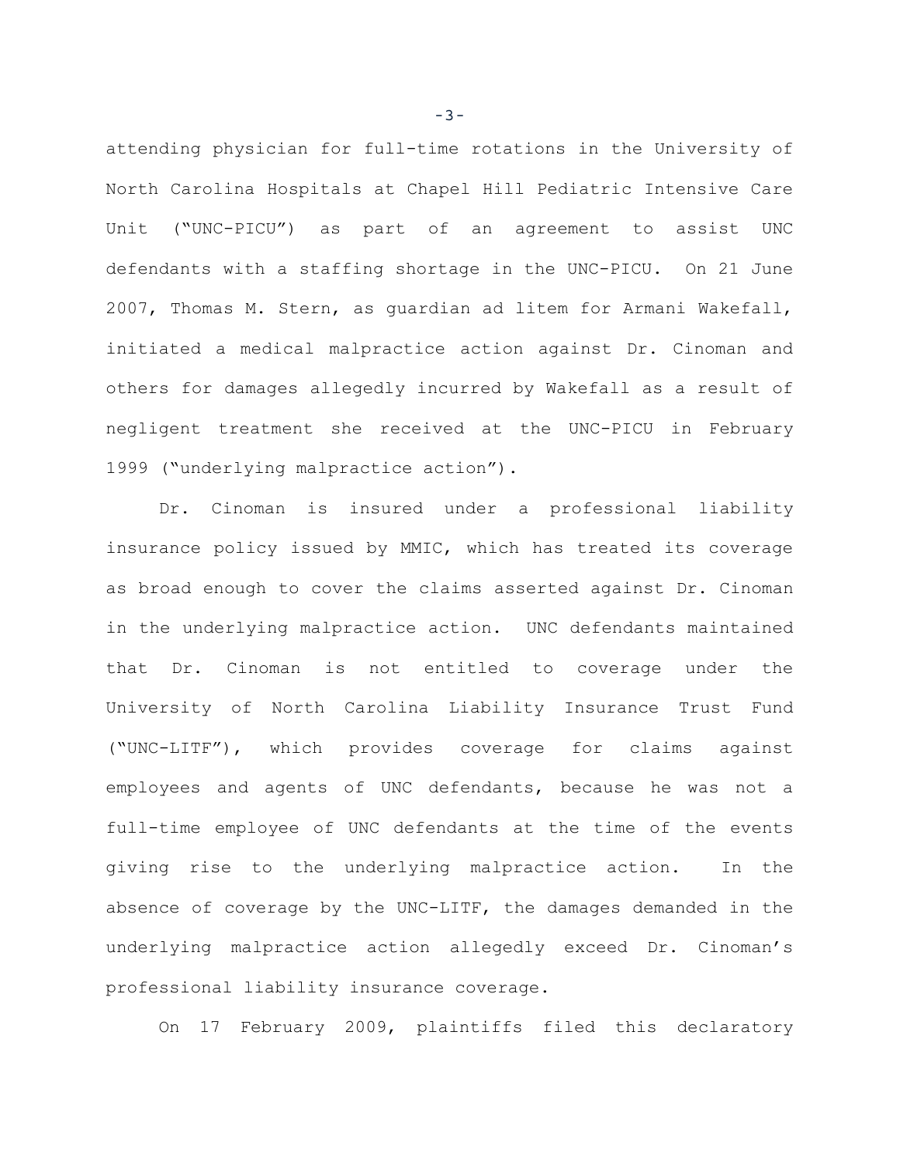attending physician for full-time rotations in the University of North Carolina Hospitals at Chapel Hill Pediatric Intensive Care Unit ("UNC-PICU") as part of an agreement to assist UNC defendants with a staffing shortage in the UNC-PICU. On 21 June 2007, Thomas M. Stern, as guardian ad litem for Armani Wakefall, initiated a medical malpractice action against Dr. Cinoman and others for damages allegedly incurred by Wakefall as a result of negligent treatment she received at the UNC-PICU in February 1999 ("underlying malpractice action").

Dr. Cinoman is insured under a professional liability insurance policy issued by MMIC, which has treated its coverage as broad enough to cover the claims asserted against Dr. Cinoman in the underlying malpractice action. UNC defendants maintained that Dr. Cinoman is not entitled to coverage under the University of North Carolina Liability Insurance Trust Fund ("UNC-LITF"), which provides coverage for claims against employees and agents of UNC defendants, because he was not a full-time employee of UNC defendants at the time of the events giving rise to the underlying malpractice action. In the absence of coverage by the UNC-LITF, the damages demanded in the underlying malpractice action allegedly exceed Dr. Cinoman's professional liability insurance coverage.

On 17 February 2009, plaintiffs filed this declaratory

-3-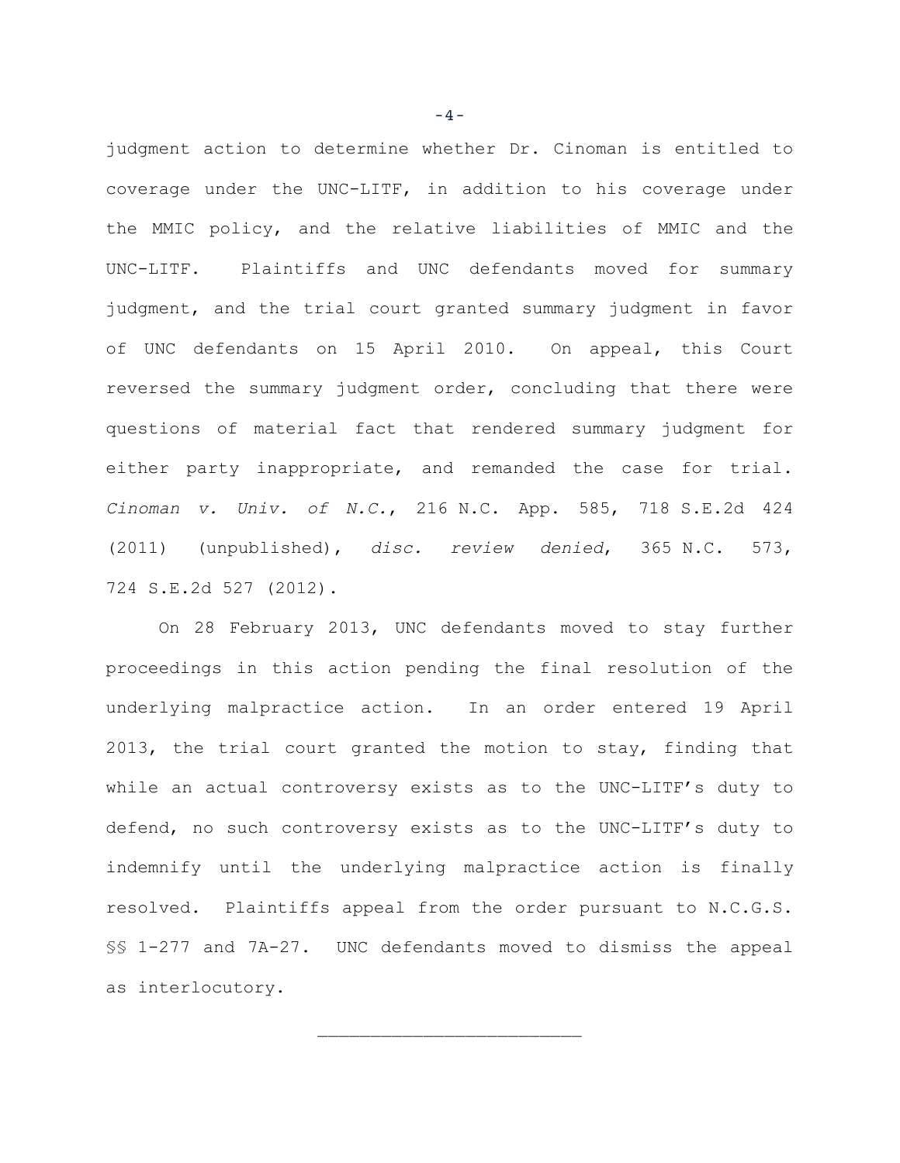judgment action to determine whether Dr. Cinoman is entitled to coverage under the UNC-LITF, in addition to his coverage under the MMIC policy, and the relative liabilities of MMIC and the UNC-LITF. Plaintiffs and UNC defendants moved for summary judgment, and the trial court granted summary judgment in favor of UNC defendants on 15 April 2010. On appeal, this Court reversed the summary judgment order, concluding that there were questions of material fact that rendered summary judgment for either party inappropriate, and remanded the case for trial. *Cinoman v. Univ. of N.C.*, 216 N.C. App. 585, 718 S.E.2d 424 (2011) (unpublished), *disc. review denied*, 365 N.C. 573, 724 S.E.2d 527 (2012).

On 28 February 2013, UNC defendants moved to stay further proceedings in this action pending the final resolution of the underlying malpractice action. In an order entered 19 April 2013, the trial court granted the motion to stay, finding that while an actual controversy exists as to the UNC-LITF's duty to defend, no such controversy exists as to the UNC-LITF's duty to indemnify until the underlying malpractice action is finally resolved. Plaintiffs appeal from the order pursuant to N.C.G.S. §§ 1-277 and 7A-27. UNC defendants moved to dismiss the appeal as interlocutory.

 $\overline{\phantom{a}}$  , where  $\overline{\phantom{a}}$  , where  $\overline{\phantom{a}}$  , where  $\overline{\phantom{a}}$ 

-4-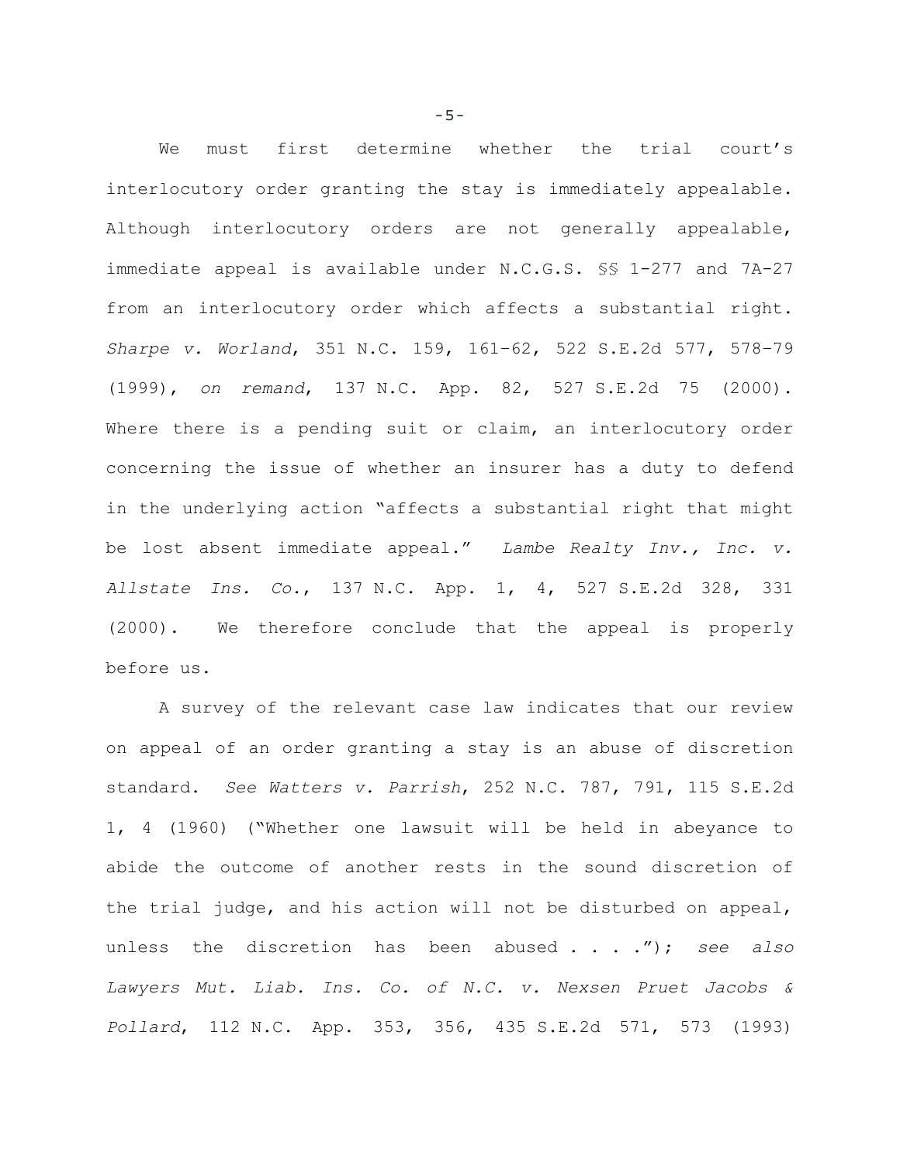We must first determine whether the trial court's interlocutory order granting the stay is immediately appealable. Although interlocutory orders are not generally appealable, immediate appeal is available under N.C.G.S. §§ 1-277 and 7A-27 from an interlocutory order which affects a substantial right. *Sharpe v. Worland*, 351 N.C. 159, 161–62, 522 S.E.2d 577, 578–79 (1999), *on remand*, 137 N.C. App. 82, 527 S.E.2d 75 (2000). Where there is a pending suit or claim, an interlocutory order concerning the issue of whether an insurer has a duty to defend in the underlying action "affects a substantial right that might be lost absent immediate appeal." *Lambe Realty Inv., Inc. v. Allstate Ins. Co.*, 137 N.C. App. 1, 4, 527 S.E.2d 328, 331 (2000). We therefore conclude that the appeal is properly before us.

A survey of the relevant case law indicates that our review on appeal of an order granting a stay is an abuse of discretion standard. *See Watters v. Parrish*, 252 N.C. 787, 791, 115 S.E.2d 1, 4 (1960) ("Whether one lawsuit will be held in abeyance to abide the outcome of another rests in the sound discretion of the trial judge, and his action will not be disturbed on appeal, unless the discretion has been abused . . . ."); *see also Lawyers Mut. Liab. Ins. Co. of N.C. v. Nexsen Pruet Jacobs & Pollard*, 112 N.C. App. 353, 356, 435 S.E.2d 571, 573 (1993)

-5-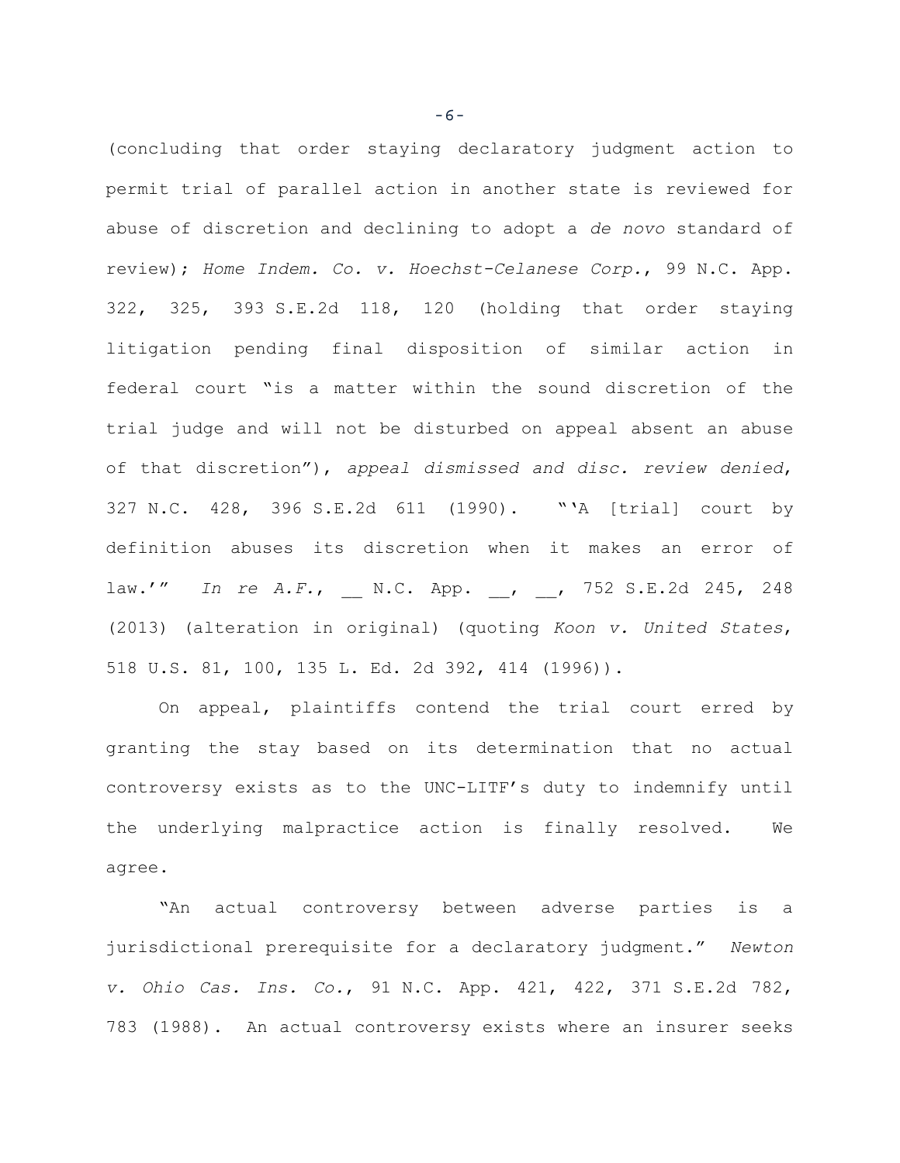(concluding that order staying declaratory judgment action to permit trial of parallel action in another state is reviewed for abuse of discretion and declining to adopt a *de novo* standard of review); *Home Indem. Co. v. Hoechst-Celanese Corp.*, 99 N.C. App. 322, 325, 393 S.E.2d 118, 120 (holding that order staying litigation pending final disposition of similar action in federal court "is a matter within the sound discretion of the trial judge and will not be disturbed on appeal absent an abuse of that discretion"), *appeal dismissed and disc. review denied*, 327 N.C. 428, 396 S.E.2d 611 (1990). "'A [trial] court by definition abuses its discretion when it makes an error of law.'" *In re A.F.*, N.C. App. , , 752 S.E.2d 245, 248 (2013) (alteration in original) (quoting *Koon v. United States*, 518 U.S. 81, 100, 135 L. Ed. 2d 392, 414 (1996)).

On appeal, plaintiffs contend the trial court erred by granting the stay based on its determination that no actual controversy exists as to the UNC-LITF's duty to indemnify until the underlying malpractice action is finally resolved. We agree.

"An actual controversy between adverse parties is a jurisdictional prerequisite for a declaratory judgment." *Newton v. Ohio Cas. Ins. Co.*, 91 N.C. App. 421, 422, 371 S.E.2d 782, 783 (1988). An actual controversy exists where an insurer seeks

-6-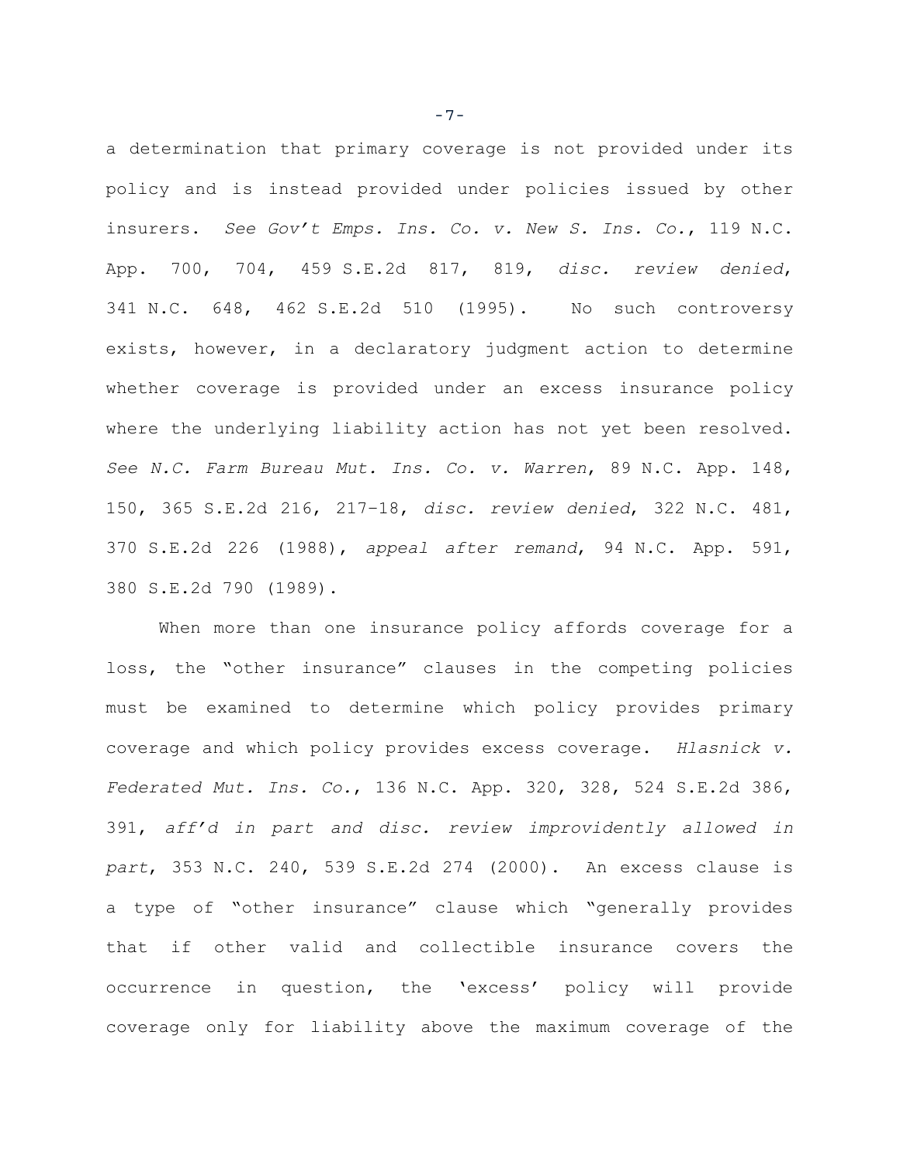a determination that primary coverage is not provided under its policy and is instead provided under policies issued by other insurers. *See Gov't Emps. Ins. Co. v. New S. Ins. Co.*, 119 N.C. App. 700, 704, 459 S.E.2d 817, 819, *disc. review denied*, 341 N.C. 648, 462 S.E.2d 510 (1995). No such controversy exists, however, in a declaratory judgment action to determine whether coverage is provided under an excess insurance policy where the underlying liability action has not yet been resolved. *See N.C. Farm Bureau Mut. Ins. Co. v. Warren*, 89 N.C. App. 148, 150, 365 S.E.2d 216, 217–18, *disc. review denied*, 322 N.C. 481, 370 S.E.2d 226 (1988), *appeal after remand*, 94 N.C. App. 591, 380 S.E.2d 790 (1989).

When more than one insurance policy affords coverage for a loss, the "other insurance" clauses in the competing policies must be examined to determine which policy provides primary coverage and which policy provides excess coverage. *Hlasnick v. Federated Mut. Ins. Co.*, 136 N.C. App. 320, 328, 524 S.E.2d 386, 391, *aff'd in part and disc. review improvidently allowed in part*, 353 N.C. 240, 539 S.E.2d 274 (2000). An excess clause is a type of "other insurance" clause which "generally provides that if other valid and collectible insurance covers the occurrence in question, the 'excess' policy will provide coverage only for liability above the maximum coverage of the

-7-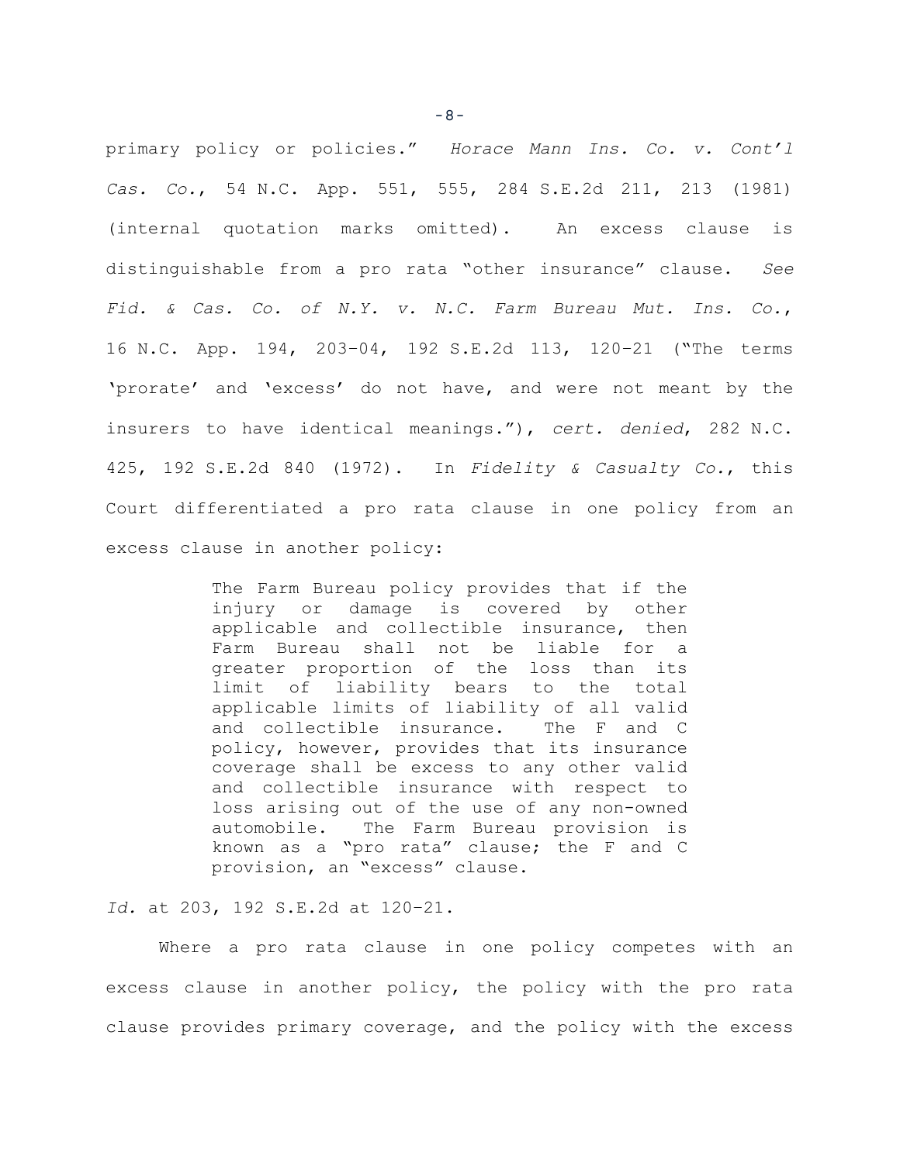primary policy or policies." *Horace Mann Ins. Co. v. Cont'l Cas. Co.*, 54 N.C. App. 551, 555, 284 S.E.2d 211, 213 (1981) (internal quotation marks omitted). An excess clause is distinguishable from a pro rata "other insurance" clause. *See Fid. & Cas. Co. of N.Y. v. N.C. Farm Bureau Mut. Ins. Co.*, 16 N.C. App. 194, 203–04, 192 S.E.2d 113, 120–21 ("The terms 'prorate' and 'excess' do not have, and were not meant by the insurers to have identical meanings."), *cert. denied*, 282 N.C. 425, 192 S.E.2d 840 (1972). In *Fidelity & Casualty Co.*, this Court differentiated a pro rata clause in one policy from an excess clause in another policy:

> The Farm Bureau policy provides that if the injury or damage is covered by other applicable and collectible insurance, then Farm Bureau shall not be liable for a greater proportion of the loss than its limit of liability bears to the total applicable limits of liability of all valid and collectible insurance. The F and C policy, however, provides that its insurance coverage shall be excess to any other valid and collectible insurance with respect to loss arising out of the use of any non-owned automobile. The Farm Bureau provision is known as a "pro rata" clause; the F and C provision, an "excess" clause.

*Id.* at 203, 192 S.E.2d at 120–21.

Where a pro rata clause in one policy competes with an excess clause in another policy, the policy with the pro rata clause provides primary coverage, and the policy with the excess

-8-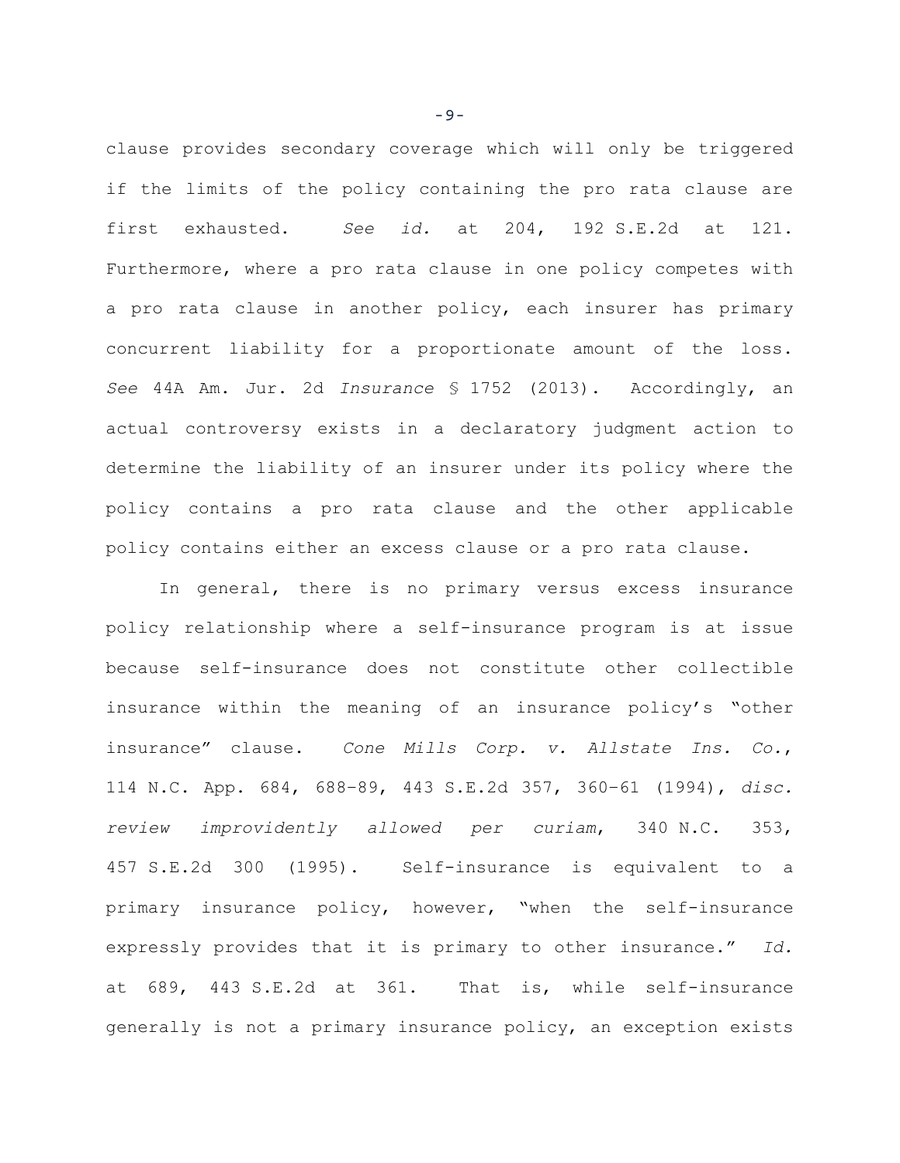clause provides secondary coverage which will only be triggered if the limits of the policy containing the pro rata clause are first exhausted. *See id.* at 204, 192 S.E.2d at 121. Furthermore, where a pro rata clause in one policy competes with a pro rata clause in another policy, each insurer has primary concurrent liability for a proportionate amount of the loss. *See* 44A Am. Jur. 2d *Insurance* § 1752 (2013). Accordingly, an actual controversy exists in a declaratory judgment action to determine the liability of an insurer under its policy where the policy contains a pro rata clause and the other applicable policy contains either an excess clause or a pro rata clause.

In general, there is no primary versus excess insurance policy relationship where a self-insurance program is at issue because self-insurance does not constitute other collectible insurance within the meaning of an insurance policy's "other insurance" clause. *Cone Mills Corp. v. Allstate Ins. Co.*, 114 N.C. App. 684, 688–89, 443 S.E.2d 357, 360–61 (1994), *disc. review improvidently allowed per curiam*, 340 N.C. 353, 457 S.E.2d 300 (1995). Self-insurance is equivalent to a primary insurance policy, however, "when the self-insurance expressly provides that it is primary to other insurance." *Id.* at 689, 443 S.E.2d at 361. That is, while self-insurance generally is not a primary insurance policy, an exception exists

-9-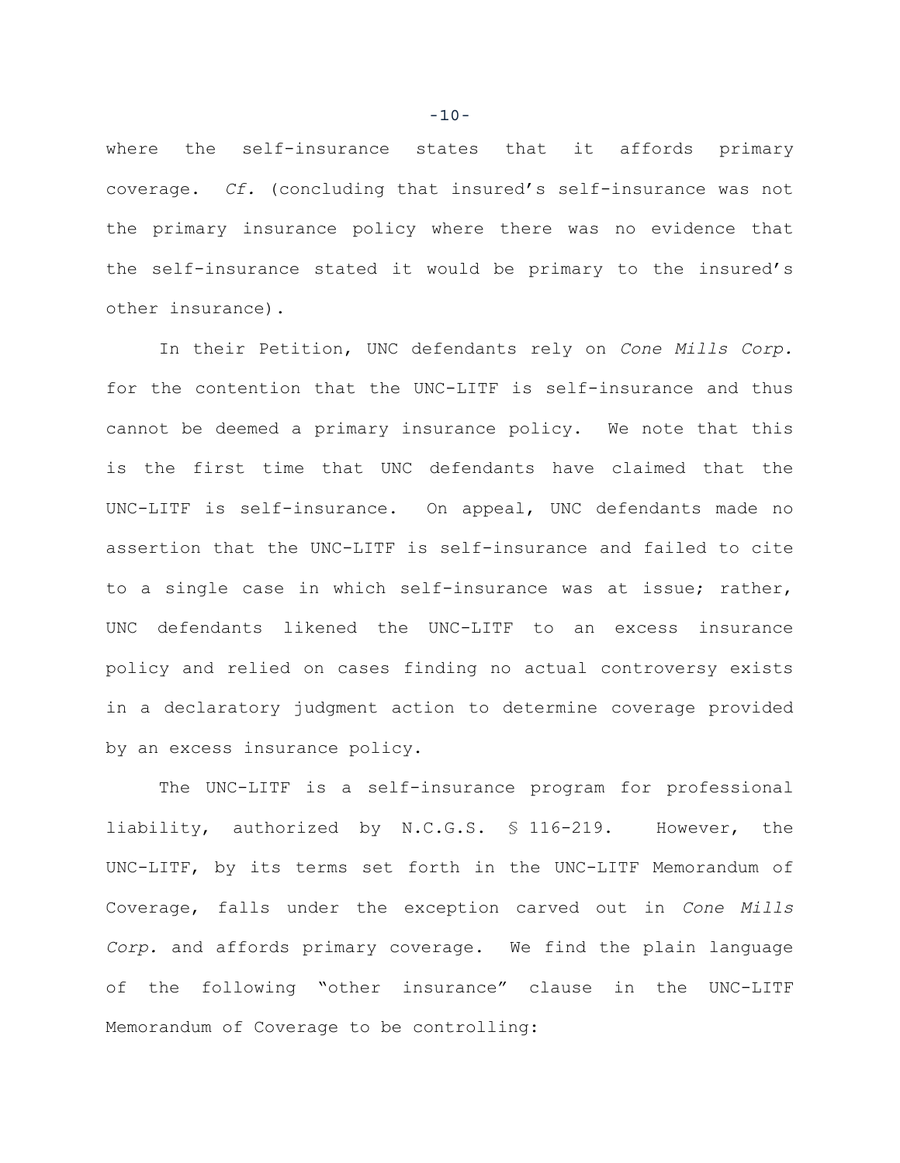where the self-insurance states that it affords primary coverage. *Cf.* (concluding that insured's self-insurance was not the primary insurance policy where there was no evidence that the self-insurance stated it would be primary to the insured's other insurance).

In their Petition, UNC defendants rely on *Cone Mills Corp.* for the contention that the UNC-LITF is self-insurance and thus cannot be deemed a primary insurance policy. We note that this is the first time that UNC defendants have claimed that the UNC-LITF is self-insurance. On appeal, UNC defendants made no assertion that the UNC-LITF is self-insurance and failed to cite to a single case in which self-insurance was at issue; rather, UNC defendants likened the UNC-LITF to an excess insurance policy and relied on cases finding no actual controversy exists in a declaratory judgment action to determine coverage provided by an excess insurance policy.

The UNC-LITF is a self-insurance program for professional liability, authorized by N.C.G.S. § 116-219. However, the UNC-LITF, by its terms set forth in the UNC-LITF Memorandum of Coverage, falls under the exception carved out in *Cone Mills Corp.* and affords primary coverage. We find the plain language of the following "other insurance" clause in the UNC-LITF Memorandum of Coverage to be controlling:

 $-10-$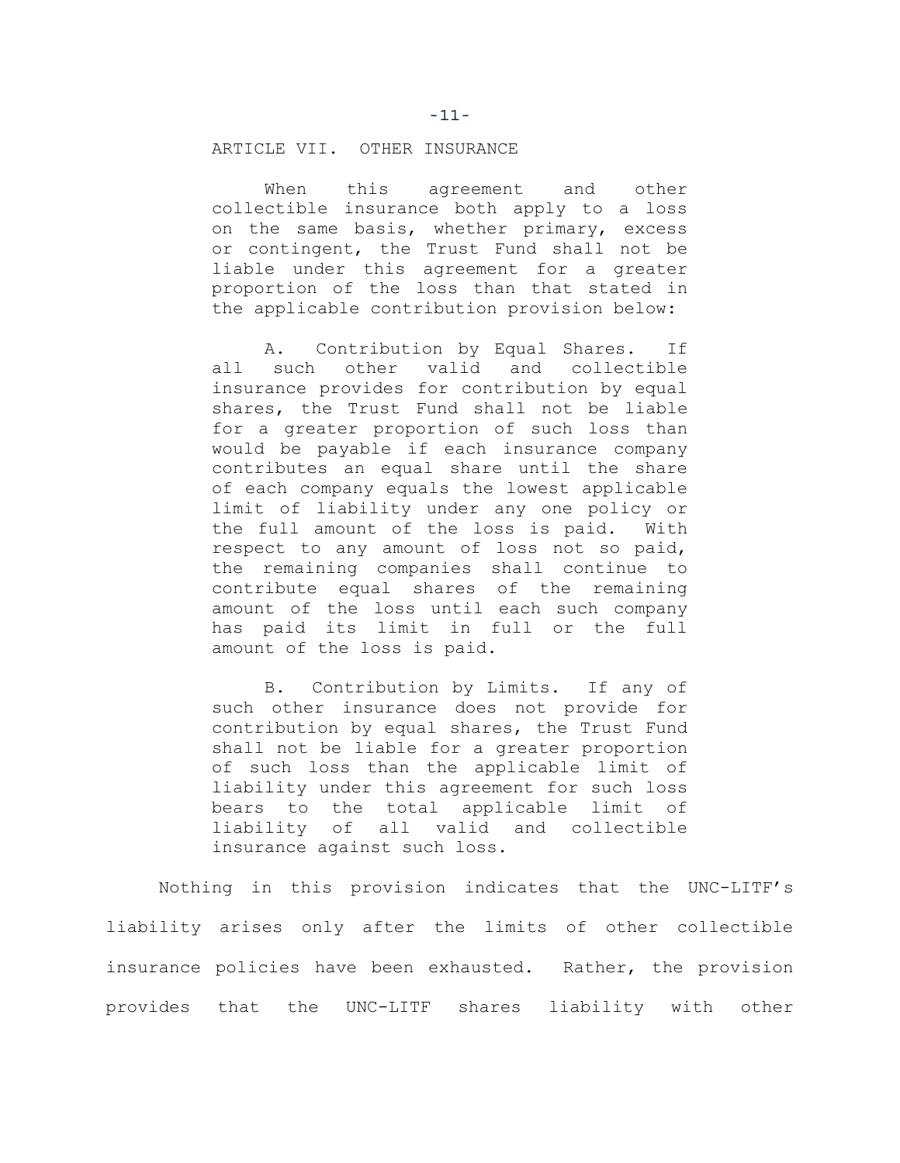### ARTICLE VII. OTHER INSURANCE

When this agreement and other collectible insurance both apply to a loss on the same basis, whether primary, excess or contingent, the Trust Fund shall not be liable under this agreement for a greater proportion of the loss than that stated in the applicable contribution provision below:

A. Contribution by Equal Shares. If all such other valid and collectible insurance provides for contribution by equal shares, the Trust Fund shall not be liable for a greater proportion of such loss than would be payable if each insurance company contributes an equal share until the share of each company equals the lowest applicable limit of liability under any one policy or the full amount of the loss is paid. With respect to any amount of loss not so paid, the remaining companies shall continue to contribute equal shares of the remaining amount of the loss until each such company has paid its limit in full or the full amount of the loss is paid.

B. Contribution by Limits. If any of such other insurance does not provide for contribution by equal shares, the Trust Fund shall not be liable for a greater proportion of such loss than the applicable limit of liability under this agreement for such loss bears to the total applicable limit of liability of all valid and collectible insurance against such loss.

Nothing in this provision indicates that the UNC-LITF's liability arises only after the limits of other collectible insurance policies have been exhausted. Rather, the provision provides that the UNC-LITF shares liability with other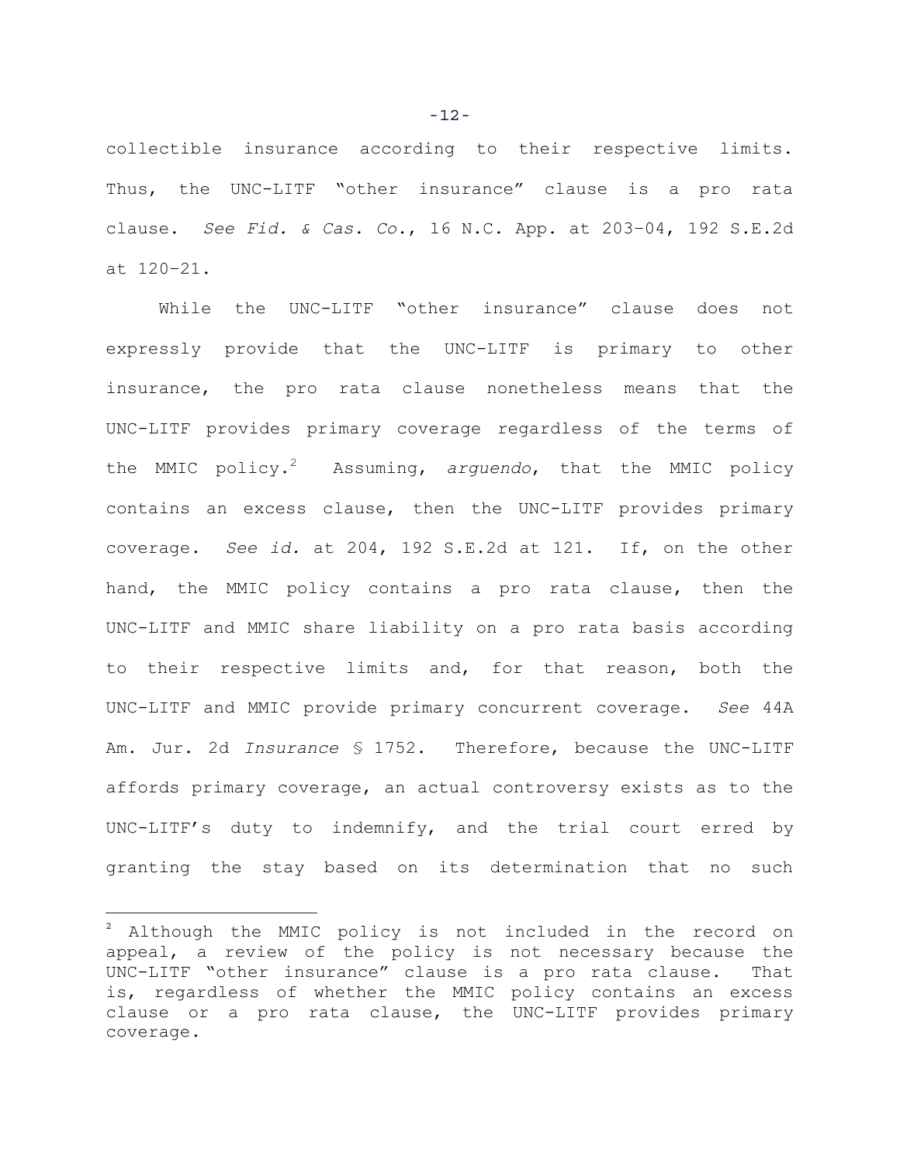collectible insurance according to their respective limits. Thus, the UNC-LITF "other insurance" clause is a pro rata clause. *See Fid. & Cas. Co.*, 16 N.C. App. at 203–04, 192 S.E.2d at 120–21.

While the UNC-LITF "other insurance" clause does not expressly provide that the UNC-LITF is primary to other insurance, the pro rata clause nonetheless means that the UNC-LITF provides primary coverage regardless of the terms of the MMIC policy.2 Assuming, *arguendo*, that the MMIC policy contains an excess clause, then the UNC-LITF provides primary coverage. *See id.* at 204, 192 S.E.2d at 121. If, on the other hand, the MMIC policy contains a pro rata clause, then the UNC-LITF and MMIC share liability on a pro rata basis according to their respective limits and, for that reason, both the UNC-LITF and MMIC provide primary concurrent coverage. *See* 44A Am. Jur. 2d *Insurance* § 1752. Therefore, because the UNC-LITF affords primary coverage, an actual controversy exists as to the UNC-LITF's duty to indemnify, and the trial court erred by granting the stay based on its determination that no such

i<br>T

-12-

<sup>&</sup>lt;sup>2</sup> Although the MMIC policy is not included in the record on appeal, a review of the policy is not necessary because the UNC-LITF "other insurance" clause is a pro rata clause. That is, regardless of whether the MMIC policy contains an excess clause or a pro rata clause, the UNC-LITF provides primary coverage.